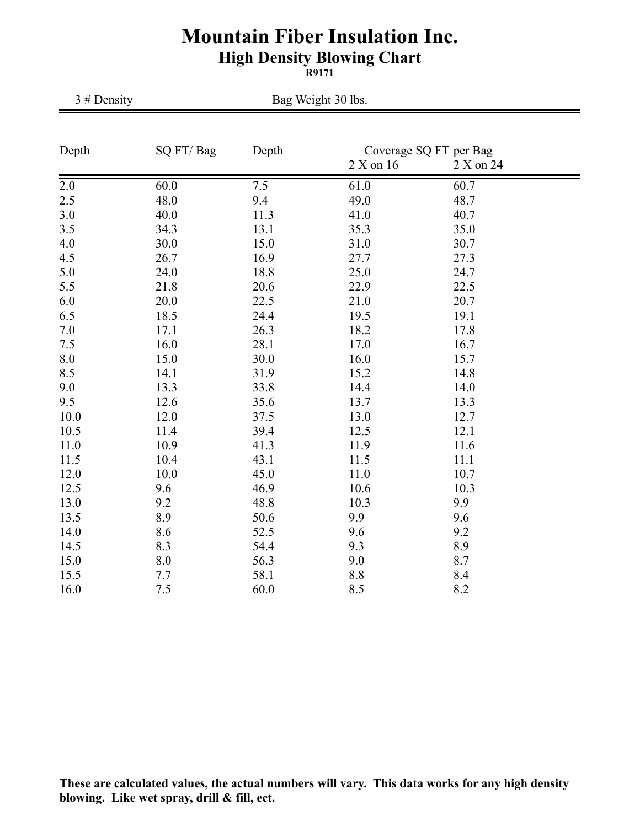## **Mountain Fiber Insulation Inc. High Density Blowing Chart**

**R9171**

| 3# Density | Bag Weight 30 lbs. |       |                                                  |      |  |
|------------|--------------------|-------|--------------------------------------------------|------|--|
| Depth      | SQ FT/Bag          | Depth | Coverage SQ FT per Bag<br>2 X on 16<br>2 X on 24 |      |  |
| 2.0        | 60.0               | 7.5   | 61.0                                             | 60.7 |  |
| 2.5        | 48.0               | 9.4   | 49.0                                             | 48.7 |  |
| 3.0        | 40.0               | 11.3  | 41.0                                             | 40.7 |  |
| 3.5        | 34.3               | 13.1  | 35.3                                             | 35.0 |  |
| 4.0        | 30.0               | 15.0  | 31.0                                             | 30.7 |  |
| 4.5        | 26.7               | 16.9  | 27.7                                             | 27.3 |  |
| 5.0        | 24.0               | 18.8  | 25.0                                             | 24.7 |  |
| 5.5        | 21.8               | 20.6  | 22.9                                             | 22.5 |  |
| 6.0        | 20.0               | 22.5  | 21.0                                             | 20.7 |  |
| 6.5        | 18.5               | 24.4  | 19.5                                             | 19.1 |  |
| 7.0        | 17.1               | 26.3  | 18.2                                             | 17.8 |  |
| 7.5        | 16.0               | 28.1  | 17.0                                             | 16.7 |  |
| 8.0        | 15.0               | 30.0  | 16.0                                             | 15.7 |  |
| 8.5        | 14.1               | 31.9  | 15.2                                             | 14.8 |  |
| 9.0        | 13.3               | 33.8  | 14.4                                             | 14.0 |  |
| 9.5        | 12.6               | 35.6  | 13.7                                             | 13.3 |  |
| 10.0       | 12.0               | 37.5  | 13.0                                             | 12.7 |  |
| 10.5       | 11.4               | 39.4  | 12.5                                             | 12.1 |  |
| 11.0       | 10.9               | 41.3  | 11.9                                             | 11.6 |  |
| 11.5       | 10.4               | 43.1  | 11.5                                             | 11.1 |  |
| 12.0       | 10.0               | 45.0  | 11.0                                             | 10.7 |  |
| 12.5       | 9.6                | 46.9  | 10.6                                             | 10.3 |  |
| 13.0       | 9.2                | 48.8  | 10.3                                             | 9.9  |  |
| 13.5       | 8.9                | 50.6  | 9.9                                              | 9.6  |  |
| 14.0       | 8.6                | 52.5  | 9.6                                              | 9.2  |  |
| 14.5       | 8.3                | 54.4  | 9.3                                              | 8.9  |  |
| 15.0       | 8.0                | 56.3  | 9.0                                              | 8.7  |  |
| 15.5       | 7.7                | 58.1  | 8.8                                              | 8.4  |  |
| 16.0       | 7.5                | 60.0  | 8.5                                              | 8.2  |  |

**These are calculated values, the actual numbers will vary. This data works for any high density blowing. Like wet spray, drill & fill, ect.**